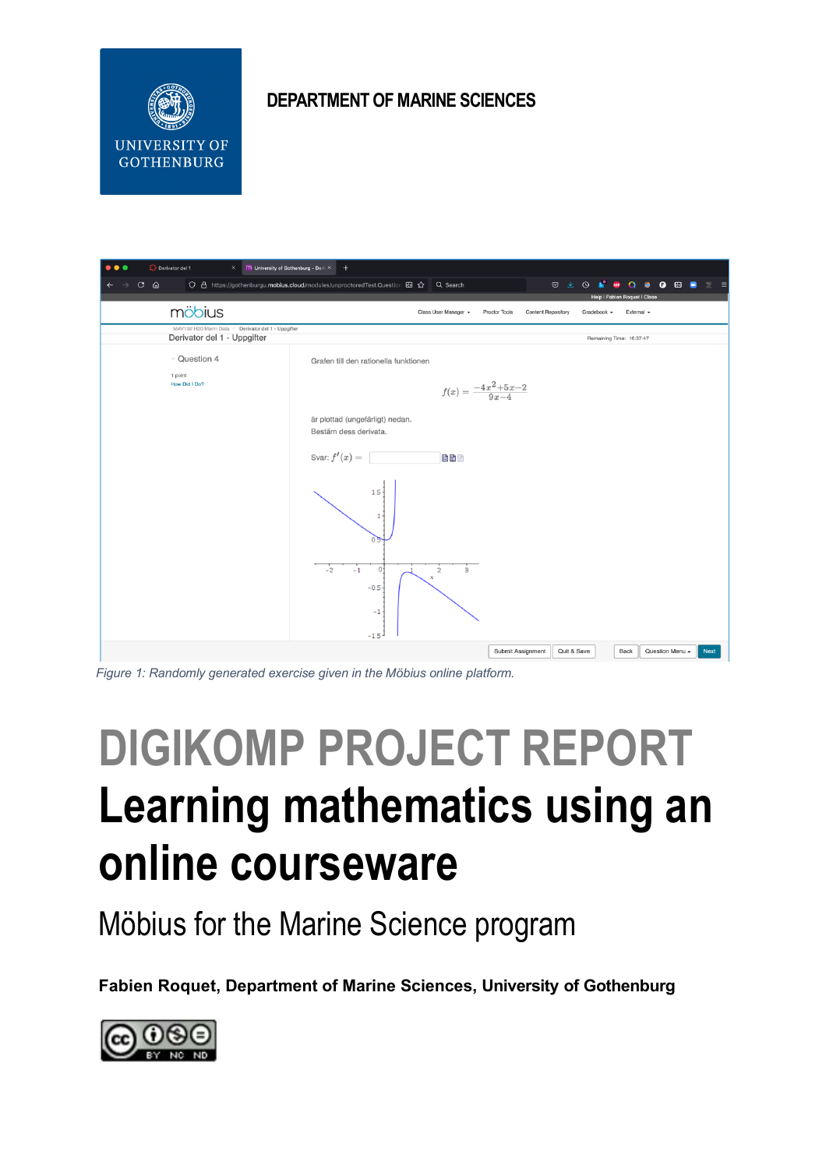

#### **DEPARTMENT OF MARINE SCIENCES**

| Derivator del 1<br>$\bullet\bullet\bullet$<br>M University of Gothenburg - DerivX<br>$\times$<br>$^{+}$ |                                                                                                                                                    |
|---------------------------------------------------------------------------------------------------------|----------------------------------------------------------------------------------------------------------------------------------------------------|
| $C \n0$<br>$\leftarrow$                                                                                 | ○ A https://gothenburgu.mobius.cloud/modules/unproctoredTest.Question 图 ☆ Q Search<br>© ± ⊙<br>к<br><b>O @ D</b><br>$Q \otimes$<br>ABP<br>$\equiv$ |
| möbius                                                                                                  | Help   Fabien Roquet   Close                                                                                                                       |
|                                                                                                         | Class User Manager =<br>Proctor Tools<br><b>Content Repository</b><br>Gradebook -<br>External -                                                    |
| MAV102 H20 Marin Data / Derivator del 1 - Uppgifter<br>Derivator del 1 - Uppgifter                      | Remaining Time: 16:37:47                                                                                                                           |
| - Question 4                                                                                            | Grafen till den rationella funktionen                                                                                                              |
| 1 point<br>How Did I Do?                                                                                | $f(x) = \frac{-4x^2 + 5x - 2}{9x - 4}$                                                                                                             |
|                                                                                                         | är plottad (ungefärligt) nedan.<br>Bestäm dess derivata.                                                                                           |
|                                                                                                         | Svar: $f'(x) =$<br>西國國                                                                                                                             |
|                                                                                                         | $1.5 -$<br>1 <sub>2</sub><br>$\Omega$                                                                                                              |
|                                                                                                         | $-2$<br>$-1$<br>$\mathbf{0}$<br>ŝ.<br>$\overline{2}$<br>$-0.5$<br>$-1$<br>$-1.5 -$                                                                 |
|                                                                                                         | Submit Assignment<br>Quit & Save<br>Back<br>Question Menu ~<br><b>Next</b>                                                                         |

*Figure 1: Randomly generated exercise given in the Möbius online platform.*

# **DIGIKOMP PROJECT REPORT Learning mathematics using an online courseware**

Möbius for the Marine Science program

**Fabien Roquet, Department of Marine Sciences, University of Gothenburg** 

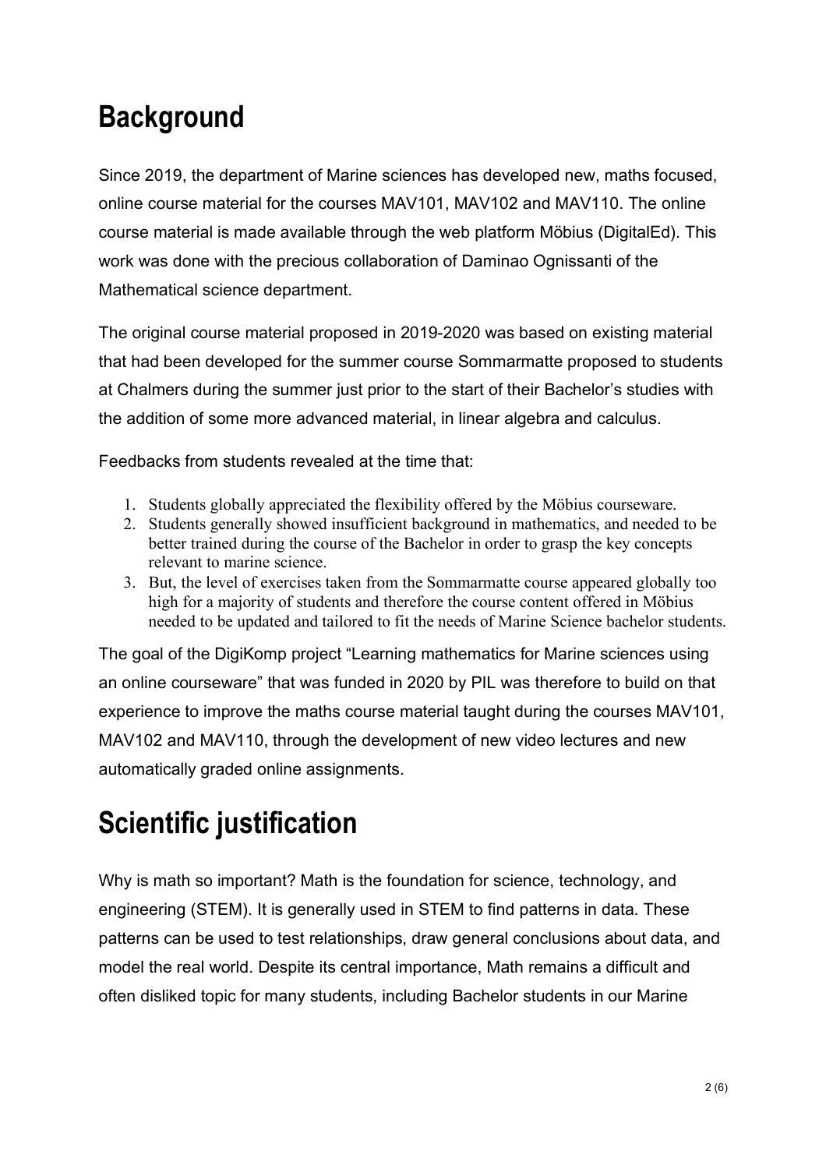## **Background**

Since 2019, the department of Marine sciences has developed new, maths focused, online course material for the courses MAV101, MAV102 and MAV110. The online course material is made available through the web platform Möbius (DigitalEd). This work was done with the precious collaboration of Daminao Ognissanti of the Mathematical science department.

The original course material proposed in 2019-2020 was based on existing material that had been developed for the summer course Sommarmatte proposed to students at Chalmers during the summer just prior to the start of their Bachelor's studies with the addition of some more advanced material, in linear algebra and calculus.

Feedbacks from students revealed at the time that:

- 1. Students globally appreciated the flexibility offered by the Möbius courseware.
- 2. Students generally showed insufficient background in mathematics, and needed to be better trained during the course of the Bachelor in order to grasp the key concepts relevant to marine science.
- 3. But, the level of exercises taken from the Sommarmatte course appeared globally too high for a majority of students and therefore the course content offered in Möbius needed to be updated and tailored to fit the needs of Marine Science bachelor students.

The goal of the DigiKomp project "Learning mathematics for Marine sciences using an online courseware" that was funded in 2020 by PIL was therefore to build on that experience to improve the maths course material taught during the courses MAV101, MAV102 and MAV110, through the development of new video lectures and new automatically graded online assignments.

# **Scientific justification**

Why is math so important? Math is the foundation for science, technology, and engineering (STEM). It is generally used in STEM to find patterns in data. These patterns can be used to test relationships, draw general conclusions about data, and model the real world. Despite its central importance, Math remains a difficult and often disliked topic for many students, including Bachelor students in our Marine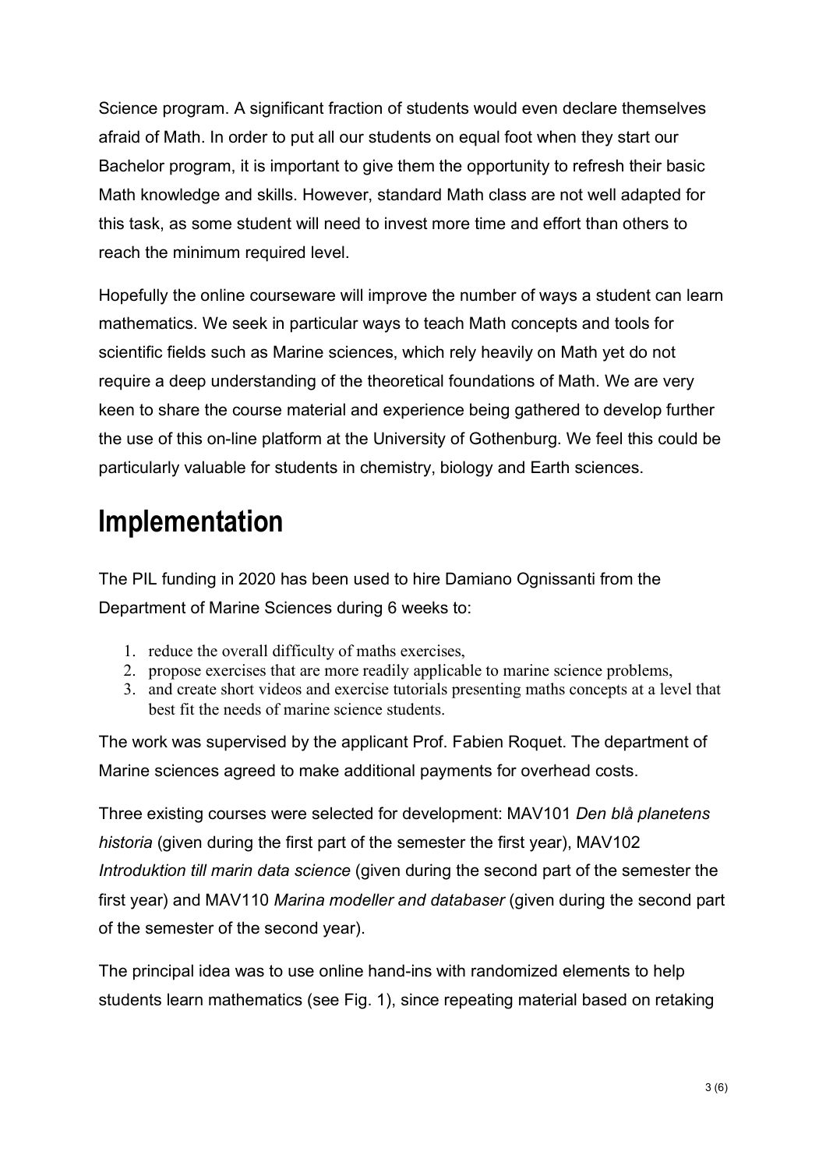Science program. A significant fraction of students would even declare themselves afraid of Math. In order to put all our students on equal foot when they start our Bachelor program, it is important to give them the opportunity to refresh their basic Math knowledge and skills. However, standard Math class are not well adapted for this task, as some student will need to invest more time and effort than others to reach the minimum required level.

Hopefully the online courseware will improve the number of ways a student can learn mathematics. We seek in particular ways to teach Math concepts and tools for scientific fields such as Marine sciences, which rely heavily on Math yet do not require a deep understanding of the theoretical foundations of Math. We are very keen to share the course material and experience being gathered to develop further the use of this on-line platform at the University of Gothenburg. We feel this could be particularly valuable for students in chemistry, biology and Earth sciences.

#### **Implementation**

The PIL funding in 2020 has been used to hire Damiano Ognissanti from the Department of Marine Sciences during 6 weeks to:

- 1. reduce the overall difficulty of maths exercises,
- 2. propose exercises that are more readily applicable to marine science problems,
- 3. and create short videos and exercise tutorials presenting maths concepts at a level that best fit the needs of marine science students.

The work was supervised by the applicant Prof. Fabien Roquet. The department of Marine sciences agreed to make additional payments for overhead costs.

Three existing courses were selected for development: MAV101 *Den blå planetens historia* (given during the first part of the semester the first year), MAV102 *Introduktion till marin data science* (given during the second part of the semester the first year) and MAV110 *Marina modeller and databaser* (given during the second part of the semester of the second year).

The principal idea was to use online hand-ins with randomized elements to help students learn mathematics (see Fig. 1), since repeating material based on retaking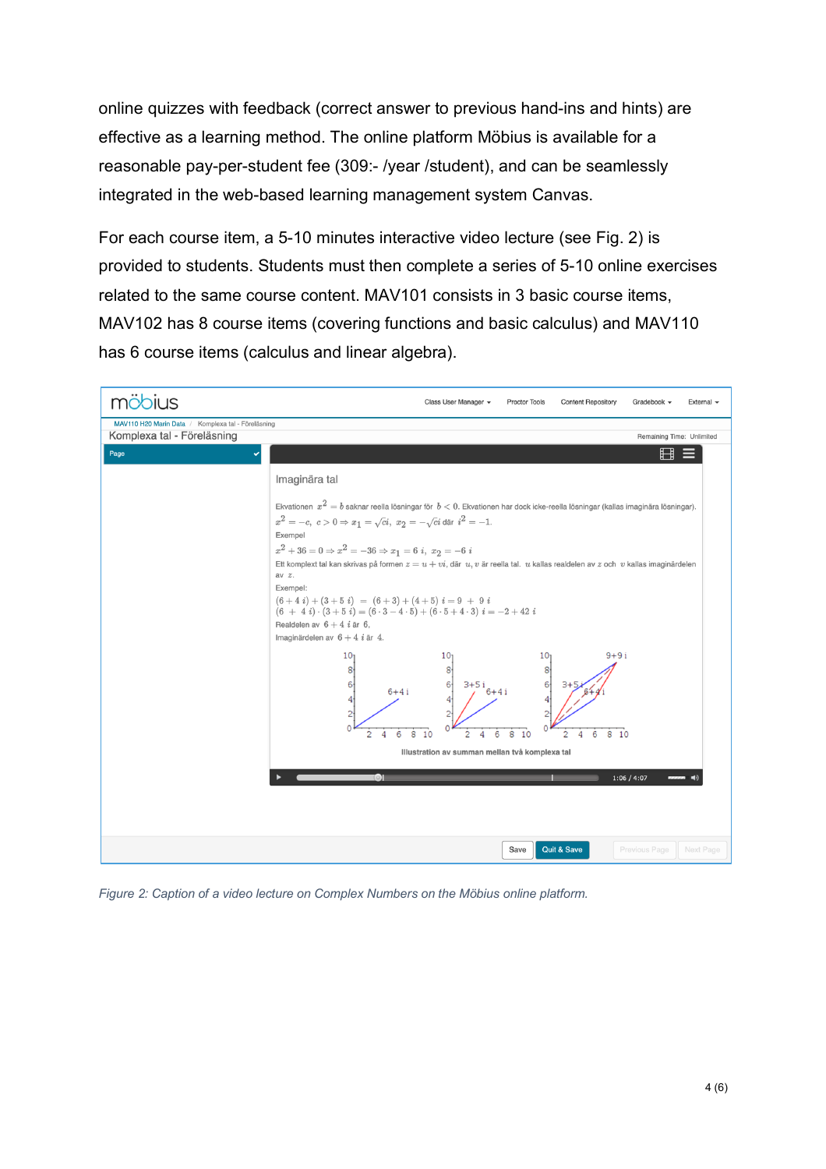online quizzes with feedback (correct answer to previous hand-ins and hints) are effective as a learning method. The online platform Möbius is available for a reasonable pay-per-student fee (309:- /year /student), and can be seamlessly integrated in the web-based learning management system Canvas.

For each course item, a 5-10 minutes interactive video lecture (see Fig. 2) is provided to students. Students must then complete a series of 5-10 online exercises related to the same course content. MAV101 consists in 3 basic course items, MAV102 has 8 course items (covering functions and basic calculus) and MAV110 has 6 course items (calculus and linear algebra).



*Figure 2: Caption of a video lecture on Complex Numbers on the Möbius online platform.*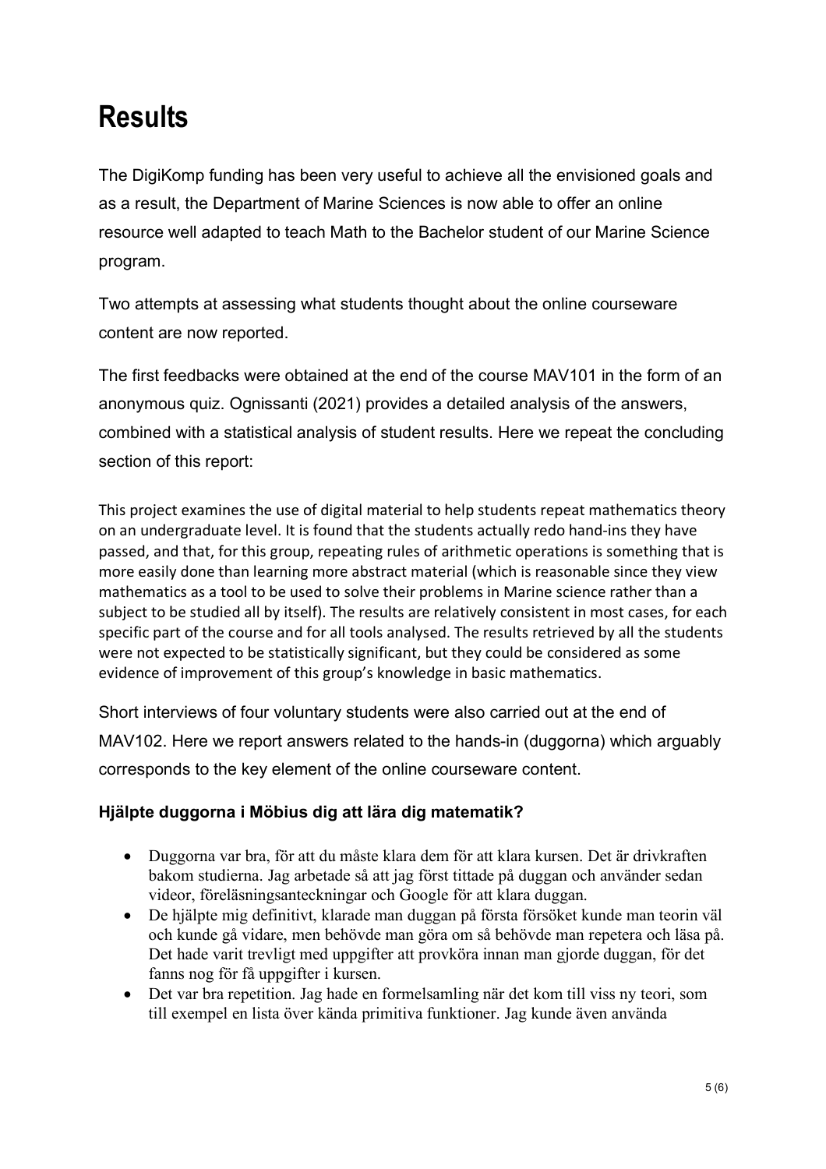## **Results**

The DigiKomp funding has been very useful to achieve all the envisioned goals and as a result, the Department of Marine Sciences is now able to offer an online resource well adapted to teach Math to the Bachelor student of our Marine Science program.

Two attempts at assessing what students thought about the online courseware content are now reported.

The first feedbacks were obtained at the end of the course MAV101 in the form of an anonymous quiz. Ognissanti (2021) provides a detailed analysis of the answers, combined with a statistical analysis of student results. Here we repeat the concluding section of this report:

This project examines the use of digital material to help students repeat mathematics theory on an undergraduate level. It is found that the students actually redo hand-ins they have passed, and that, for this group, repeating rules of arithmetic operations is something that is more easily done than learning more abstract material (which is reasonable since they view mathematics as a tool to be used to solve their problems in Marine science rather than a subject to be studied all by itself). The results are relatively consistent in most cases, for each specific part of the course and for all tools analysed. The results retrieved by all the students were not expected to be statistically significant, but they could be considered as some evidence of improvement of this group's knowledge in basic mathematics.

Short interviews of four voluntary students were also carried out at the end of MAV102. Here we report answers related to the hands-in (duggorna) which arguably corresponds to the key element of the online courseware content.

#### **Hjälpte duggorna i Möbius dig att lära dig matematik?**

- Duggorna var bra, för att du måste klara dem för att klara kursen. Det är drivkraften bakom studierna. Jag arbetade så att jag först tittade på duggan och använder sedan videor, föreläsningsanteckningar och Google för att klara duggan.
- De hjälpte mig definitivt, klarade man duggan på första försöket kunde man teorin väl och kunde gå vidare, men behövde man göra om så behövde man repetera och läsa på. Det hade varit trevligt med uppgifter att provköra innan man gjorde duggan, för det fanns nog för få uppgifter i kursen.
- Det var bra repetition. Jag hade en formelsamling när det kom till viss ny teori, som till exempel en lista över kända primitiva funktioner. Jag kunde även använda